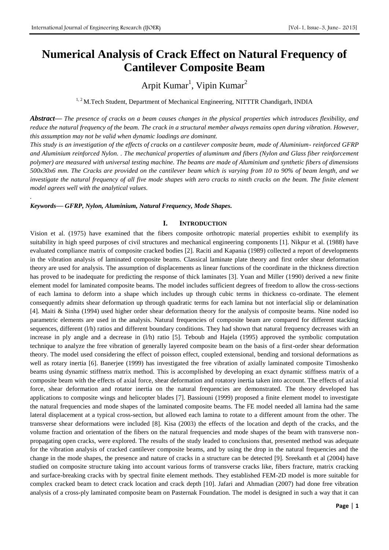*.*

# **Numerical Analysis of Crack Effect on Natural Frequency of Cantilever Composite Beam**

Arpit Kumar<sup>1</sup>, Vipin Kumar<sup>2</sup>

<sup>1, 2</sup> M.Tech Student, Department of Mechanical Engineering, NITTTR Chandigarh, INDIA

*Abstract***—** *The presence of cracks on a beam causes changes in the physical properties which introduces flexibility, and reduce the natural frequency of the beam. The crack in a structural member always remains open during vibration. However, this assumption may not be valid when dynamic loadings are dominant.*

*This study is an investigation of the effects of cracks on a cantilever composite beam, made of Aluminium- reinforced GFRP and Aluminium reinforced Nylon. . The mechanical properties of aluminum and fibers (Nylon and Glass fiber reinforcement polymer) are measured with universal testing machine. The beams are made of Aluminium and synthetic fibers of dimensions 500x30x6 mm. The Cracks are provided on the cantilever beam which is varying from 10 to 90% of beam length, and we investigate the natural frequency of all five mode shapes with zero cracks to ninth cracks on the beam. The finite element model agrees well with the analytical values.*

*Keywords***—** *GFRP, Nylon, Aluminium, Natural Frequency, Mode Shapes.*

### **I. INTRODUCTION**

Vision et al. (1975) have examined that the fibers composite orthotropic material properties exhibit to exemplify its suitability in high speed purposes of civil structures and mechanical engineering components [1]. Nikpur et al. (1988) have evaluated compliance matrix of composite cracked bodies [2]. Raciti and Kapania (1989) collected a report of developments in the vibration analysis of laminated composite beams. Classical laminate plate theory and first order shear deformation theory are used for analysis. The assumption of displacements as linear functions of the coordinate in the thickness direction has proved to be inadequate for predicting the response of thick laminates [3]. Yuan and Miller (1990) derived a new finite element model for laminated composite beams. The model includes sufficient degrees of freedom to allow the cross-sections of each lamina to deform into a shape which includes up through cubic terms in thickness co-ordinate. The element consequently admits shear deformation up through quadratic terms for each lamina but not interfacial slip or delamination [4]. Maiti & Sinha (1994) used higher order shear deformation theory for the analysis of composite beams. Nine noded iso parametric elements are used in the analysis. Natural frequencies of composite beam are compared for different stacking sequences, different (l/h) ratios and different boundary conditions. They had shown that natural frequency decreases with an increase in ply angle and a decrease in (l/h) ratio [5]. Teboub and Hajela (1995) approved the symbolic computation technique to analyze the free vibration of generally layered composite beam on the basis of a first-order shear deformation theory. The model used considering the effect of poisson effect, coupled extensional, bending and torsional deformations as well as rotary inertia [6]. Banerjee (1999) has investigated the free vibration of axially laminated composite Timoshenko beams using dynamic stiffness matrix method. This is accomplished by developing an exact dynamic stiffness matrix of a composite beam with the effects of axial force, shear deformation and rotatory inertia taken into account. The effects of axial force, shear deformation and rotator inertia on the natural frequencies are demonstrated. The theory developed has applications to composite wings and helicopter blades [7]. Bassiouni (1999) proposed a finite element model to investigate the natural frequencies and mode shapes of the laminated composite beams. The FE model needed all lamina had the same lateral displacement at a typical cross-section, but allowed each lamina to rotate to a different amount from the other. The transverse shear deformations were included [8]. Kisa (2003) the effects of the location and depth of the cracks, and the volume fraction and orientation of the fibers on the natural frequencies and mode shapes of the beam with transverse nonpropagating open cracks, were explored. The results of the study leaded to conclusions that, presented method was adequate for the vibration analysis of cracked cantilever composite beams, and by using the drop in the natural frequencies and the change in the mode shapes, the presence and nature of cracks in a structure can be detected [9]. Sreekanth et al (2004) have studied on composite structure taking into account various forms of transverse cracks like, fibers fracture, matrix cracking and surface-breaking cracks with by spectral finite element methods. They established FEM-2D model is more suitable for complex cracked beam to detect crack location and crack depth [10]. Jafari and Ahmadian (2007) had done free vibration analysis of a cross-ply laminated composite beam on Pasternak Foundation. The model is designed in such a way that it can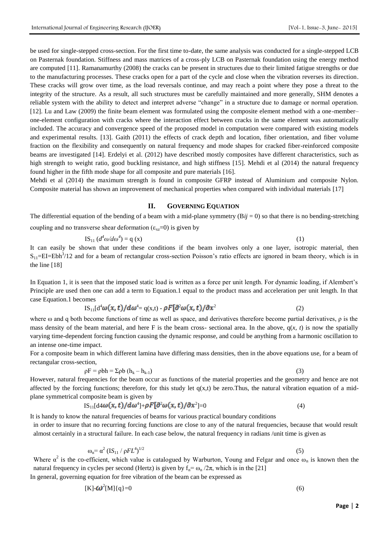be used for single-stepped cross-section. For the first time to-date, the same analysis was conducted for a single-stepped LCB on Pasternak foundation. Stiffness and mass matrices of a cross-ply LCB on Pasternak foundation using the energy method are computed [11]. Ramanamurthy (2008) the cracks can be present in structures due to their limited fatigue strengths or due to the manufacturing processes. These cracks open for a part of the cycle and close when the vibration reverses its direction. These cracks will grow over time, as the load reversals continue, and may reach a point where they pose a threat to the integrity of the structure. As a result, all such structures must be carefully maintained and more generally, SHM denotes a reliable system with the ability to detect and interpret adverse "change" in a structure due to damage or normal operation. [12]. Lu and Law (2009) the finite beam element was formulated using the composite element method with a one-member– one-element configuration with cracks where the interaction effect between cracks in the same element was automatically included. The accuracy and convergence speed of the proposed model in computation were compared with existing models and experimental results. [13]. Gaith (2011) the effects of crack depth and location, fiber orientation, and fiber volume fraction on the flexibility and consequently on natural frequency and mode shapes for cracked fiber-reinforced composite beams are investigated [14]. Erdelyi et al. (2012) have described mostly composites have different characteristics, such as high strength to weight ratio, good buckling resistance, and high stiffness [15]. Mehdi et al (2014) the natural frequency found higher in the fifth mode shape for all composite and pure materials [16].

Mehdi et al (2014) the maximum strength is found in composite GFRP instead of Aluminium and composite Nylon. Composite material has shown an improvement of mechanical properties when compared with individual materials [17]

## **II. GOVERNING EQUATION**

The differential equation of the bending of a beam with a mid-plane symmetry  $(Bij = 0)$  so that there is no bending-stretching coupling and no transverse shear deformation ( $\varepsilon_{xz}=0$ ) is given by

$$
IS_{11} (d^4 \omega / d\omega^4) = q (x)
$$
 (1)

It can easily be shown that under these conditions if the beam involves only a one layer, isotropic material, then  $S_{11}$ =EI=Ebh<sup>3</sup>/12 and for a beam of rectangular cross-section Poisson's ratio effects are ignored in beam theory, which is in the line [18]

In Equation 1, it is seen that the imposed static load is written as a force per unit length. For dynamic loading, if Alembert's Principle are used then one can add a term to Equation.1 equal to the product mass and acceleration per unit length. In that case Equation.1 becomes

$$
IS_{11}[d^4\omega(x,t)/d\omega^4 = q(x,t) - \rho F[\partial^2\omega(x,t)/\partial x^2]
$$
 (2)

where  $\omega$  and q both become functions of time as well as space, and derivatives therefore become partial derivatives,  $\rho$  is the mass density of the beam material, and here F is the beam cross- sectional area. In the above,  $q(x, t)$  is now the spatially varying time-dependent forcing function causing the dynamic response, and could be anything from a harmonic oscillation to an intense one-time impact.

For a composite beam in which different lamina have differing mass densities, then in the above equations use, for a beam of rectangular cross-section,

$$
\rho \mathbf{F} = \rho b \mathbf{h} = \Sigma \rho b \left( \mathbf{h}_{k} - \mathbf{h}_{k-1} \right) \tag{3}
$$

However, natural frequencies for the beam occur as functions of the material properties and the geometry and hence are not affected by the forcing functions; therefore, for this study let  $q(x,t)$  be zero.Thus, the natural vibration equation of a midplane symmetrical composite beam is given by

$$
IS_{11}[d4\omega(x,t)/d\omega^4] + \rho F[\partial^2\omega(x,t)/\partial x^2] = 0 \qquad (4)
$$

It is handy to know the natural frequencies of beams for various practical boundary conditions

in order to insure that no recurring forcing functions are close to any of the natural frequencies, because that would result almost certainly in a structural failure. In each case below, the natural frequency in radians /unit time is given as

$$
\omega_n = \alpha^2 (IS_{11} / \rho F L^4)^{1/2}
$$
 (5)

Where  $\alpha^2$  is the co-efficient, which value is catalogued by Warburton, Young and Felgar and once  $\omega_n$  is known then the natural frequency in cycles per second (Hertz) is given by  $f_n = \omega_n / 2\pi$ , which is in the [21]

In general, governing equation for free vibration of the beam can be expressed as

$$
[\mathbf{K}]\text{-}\mathbf{\omega}^2[\mathbf{M}]\{\mathbf{q}\}=\mathbf{0}\tag{6}
$$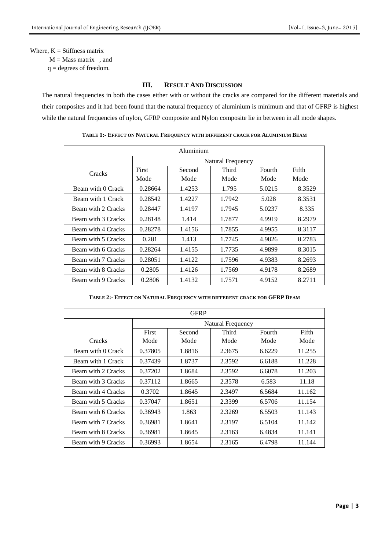### Where,  $K = Stiffness$  matrix

 $M = Mass$  matrix , and

q = degrees of freedom.

## **III. RESULT AND DISCUSSION**

The natural frequencies in both the cases either with or without the cracks are compared for the different materials and their composites and it had been found that the natural frequency of aluminium is minimum and that of GFRP is highest while the natural frequencies of nylon, GFRP composite and Nylon composite lie in between in all mode shapes.

| Aluminium          |                   |        |        |        |        |  |
|--------------------|-------------------|--------|--------|--------|--------|--|
|                    | Natural Frequency |        |        |        |        |  |
| Cracks             | First             | Second | Third  | Fourth | Fifth  |  |
|                    | Mode              | Mode   | Mode   | Mode   | Mode   |  |
| Beam with 0 Crack  | 0.28664           | 1.4253 | 1.795  | 5.0215 | 8.3529 |  |
| Beam with 1 Crack  | 0.28542           | 1.4227 | 1.7942 | 5.028  | 8.3531 |  |
| Beam with 2 Cracks | 0.28447           | 1.4197 | 1.7945 | 5.0237 | 8.335  |  |
| Beam with 3 Cracks | 0.28148           | 1.414  | 1.7877 | 4.9919 | 8.2979 |  |
| Beam with 4 Cracks | 0.28278           | 1.4156 | 1.7855 | 4.9955 | 8.3117 |  |
| Beam with 5 Cracks | 0.281             | 1.413  | 1.7745 | 4.9826 | 8.2783 |  |
| Beam with 6 Cracks | 0.28264           | 1.4155 | 1.7735 | 4.9899 | 8.3015 |  |
| Beam with 7 Cracks | 0.28051           | 1.4122 | 1.7596 | 4.9383 | 8.2693 |  |
| Beam with 8 Cracks | 0.2805            | 1.4126 | 1.7569 | 4.9178 | 8.2689 |  |
| Beam with 9 Cracks | 0.2806            | 1.4132 | 1.7571 | 4.9152 | 8.2711 |  |

**TABLE 1:- EFFECT ON NATURAL FREQUENCY WITH DIFFERENT CRACK FOR ALUMINIUM BEAM**

## **TABLE 2:- EFFECT ON NATURAL FREQUENCY WITH DIFFERENT CRACK FOR GFRP BEAM**

| <b>GFRP</b>        |                   |        |        |        |        |  |
|--------------------|-------------------|--------|--------|--------|--------|--|
|                    | Natural Frequency |        |        |        |        |  |
|                    | First             | Second | Third  | Fourth | Fifth  |  |
| Cracks             | Mode              | Mode   | Mode   | Mode   | Mode   |  |
| Beam with 0 Crack  | 0.37805           | 1.8816 | 2.3675 | 6.6229 | 11.255 |  |
| Beam with 1 Crack  | 0.37439           | 1.8737 | 2.3592 | 6.6188 | 11.228 |  |
| Beam with 2 Cracks | 0.37202           | 1.8684 | 2.3592 | 6.6078 | 11.203 |  |
| Beam with 3 Cracks | 0.37112           | 1.8665 | 2.3578 | 6.583  | 11.18  |  |
| Beam with 4 Cracks | 0.3702            | 1.8645 | 2.3497 | 6.5684 | 11.162 |  |
| Beam with 5 Cracks | 0.37047           | 1.8651 | 2.3399 | 6.5706 | 11.154 |  |
| Beam with 6 Cracks | 0.36943           | 1.863  | 2.3269 | 6.5503 | 11.143 |  |
| Beam with 7 Cracks | 0.36981           | 1.8641 | 2.3197 | 6.5104 | 11.142 |  |
| Beam with 8 Cracks | 0.36981           | 1.8645 | 2.3163 | 6.4834 | 11.141 |  |
| Beam with 9 Cracks | 0.36993           | 1.8654 | 2.3165 | 6.4798 | 11.144 |  |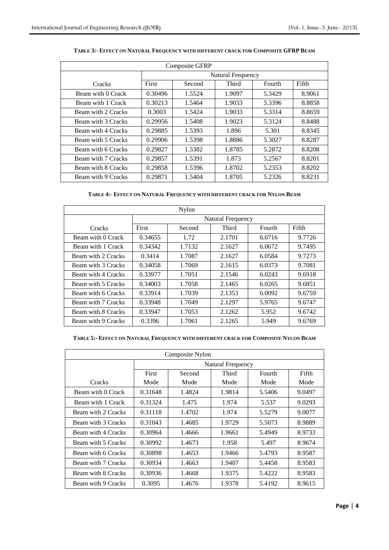| <b>Composite GFRP</b> |                   |        |        |        |        |  |
|-----------------------|-------------------|--------|--------|--------|--------|--|
|                       | Natural Frequency |        |        |        |        |  |
| <b>Cracks</b>         | First             | Second | Third  | Fourth | Fifth  |  |
| Beam with 0 Crack     | 0.30496           | 1.5524 | 1.9097 | 5.3429 | 8.9061 |  |
| Beam with 1 Crack     | 0.30213           | 1.5464 | 1.9033 | 5.3396 | 8.8858 |  |
| Beam with 2 Cracks    | 0.3003            | 1.5424 | 1.9033 | 5.3314 | 8.8659 |  |
| Beam with 3 Cracks    | 0.29956           | 1.5408 | 1.9023 | 5.3124 | 8.8488 |  |
| Beam with 4 Cracks    | 0.29885           | 1.5393 | 1.896  | 5.301  | 8.8345 |  |
| Beam with 5 Cracks    | 0.29906           | 1.5398 | 1.8886 | 5.3027 | 8.8287 |  |
| Beam with 6 Cracks    | 0.29827           | 1.5382 | 1.8785 | 5.2872 | 8.8208 |  |
| Beam with 7 Cracks    | 0.29857           | 1.5391 | 1.873  | 5.2567 | 8.8201 |  |
| Beam with 8 Cracks    | 0.29858           | 1.5396 | 1.8702 | 5.2353 | 8.8202 |  |
| Beam with 9 Cracks    | 0.29871           | 1.5404 | 1.8705 | 5.2326 | 8.8231 |  |

## **TABLE 3:- EFFECT ON NATURAL FREQUENCY WITH DIFFERENT CRACK FOR COMPOSITE GFRP BEAM**

## **TABLE 4:- EFFECT ON NATURAL FREQUENCY WITH DIFFERENT CRACK FOR NYLON BEAM**

| Nylon              |                   |        |        |        |        |  |
|--------------------|-------------------|--------|--------|--------|--------|--|
|                    | Natural Frequency |        |        |        |        |  |
| Cracks             | First             | Second | Third  | Fourth | Fifth  |  |
| Beam with 0 Crack  | 0.34655           | 1.72   | 2.1701 | 6.0716 | 9.7726 |  |
| Beam with 1 Crack  | 0.34342           | 1.7132 | 2.1627 | 6.0672 | 9.7495 |  |
| Beam with 2 Cracks | 0.3414            | 1.7087 | 2.1627 | 6.0584 | 9.7273 |  |
| Beam with 3 Cracks | 0.34058           | 1.7069 | 2.1615 | 6.0373 | 9.7081 |  |
| Beam with 4 Cracks | 0.33977           | 1.7051 | 2.1546 | 6.0243 | 9.6918 |  |
| Beam with 5 Cracks | 0.34003           | 1.7058 | 2.1465 | 6.0265 | 9.6851 |  |
| Beam with 6 Cracks | 0.33914           | 1.7039 | 2.1353 | 6.0092 | 9.6759 |  |
| Beam with 7 Cracks | 0.33948           | 1.7049 | 2.1297 | 5.9765 | 9.6747 |  |
| Beam with 8 Cracks | 0.33947           | 1.7053 | 2.1262 | 5.952  | 9.6742 |  |
| Beam with 9 Cracks | 0.3396            | 1.7061 | 2.1265 | 5.949  | 9.6769 |  |

### **TABLE 5:- EFFECT ON NATURAL FREQUENCY WITH DIFFERENT CRACK FOR COMPOSITE NYLON BEAM**

| Composite Nylon    |                   |        |        |        |        |  |
|--------------------|-------------------|--------|--------|--------|--------|--|
|                    | Natural Frequency |        |        |        |        |  |
|                    | First             | Second | Third  | Fourth | Fifth  |  |
| Cracks             | Mode              | Mode   | Mode   | Mode   | Mode   |  |
| Beam with 0 Crack  | 0.31648           | 1.4824 | 1.9814 | 5.5406 | 9.0497 |  |
| Beam with 1 Crack  | 0.31324           | 1.475  | 1.974  | 5.537  | 9.0293 |  |
| Beam with 2 Cracks | 0.31118           | 1.4702 | 1.974  | 5.5279 | 9.0077 |  |
| Beam with 3 Cracks | 0.31043           | 1.4685 | 1.9729 | 5.5073 | 8.9889 |  |
| Beam with 4 Cracks | 0.30964           | 1.4666 | 1.9661 | 5.4949 | 8.9733 |  |
| Beam with 5 Cracks | 0.30992           | 1.4673 | 1.958  | 5.497  | 8.9674 |  |
| Beam with 6 Cracks | 0.30898           | 1.4653 | 1.9466 | 5.4793 | 8.9587 |  |
| Beam with 7 Cracks | 0.30934           | 1.4663 | 1.9407 | 5.4458 | 8.9583 |  |
| Beam with 8 Cracks | 0.30936           | 1.4668 | 1.9375 | 5.4222 | 8.9583 |  |
| Beam with 9 Cracks | 0.3095            | 1.4676 | 1.9378 | 5.4192 | 8.9615 |  |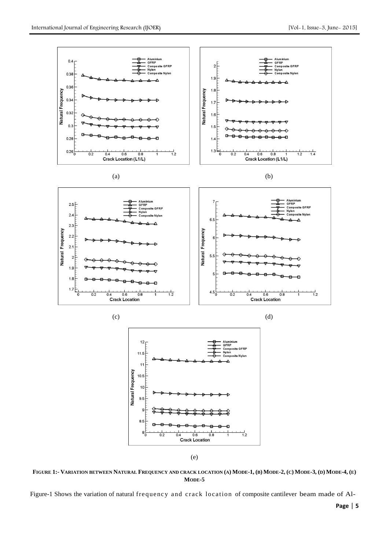

FIGURE 1:- VARIATION BETWEEN NATURAL FREQUENCY AND CRACK LOCATION (A) MODE-1, (B) MODE-2, (C) MODE-3, (D) MODE-4, (E) **MODE-5**

Figure-1 Shows the variation of natural frequency and crack location of composite cantilever beam made of Al-